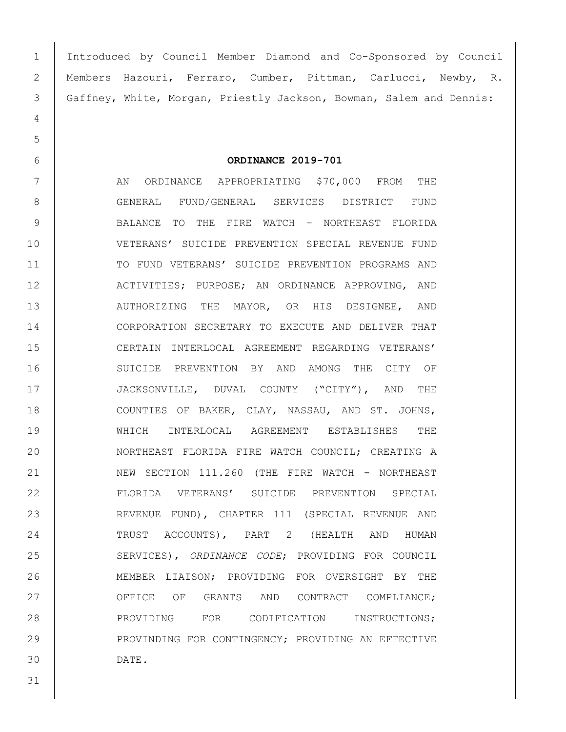Introduced by Council Member Diamond and Co-Sponsored by Council Members Hazouri, Ferraro, Cumber, Pittman, Carlucci, Newby, R. Gaffney, White, Morgan, Priestly Jackson, Bowman, Salem and Dennis:

## **ORDINANCE 2019-701**

7 | AN ORDINANCE APPROPRIATING \$70,000 FROM THE 8 GENERAL FUND/GENERAL SERVICES DISTRICT FUND 9 | BALANCE TO THE FIRE WATCH - NORTHEAST FLORIDA VETERANS' SUICIDE PREVENTION SPECIAL REVENUE FUND 11 | TO FUND VETERANS' SUICIDE PREVENTION PROGRAMS AND ACTIVITIES; PURPOSE; AN ORDINANCE APPROVING, AND 13 AUTHORIZING THE MAYOR, OR HIS DESIGNEE, AND CORPORATION SECRETARY TO EXECUTE AND DELIVER THAT CERTAIN INTERLOCAL AGREEMENT REGARDING VETERANS' SUICIDE PREVENTION BY AND AMONG THE CITY OF 17 JACKSONVILLE, DUVAL COUNTY ("CITY"), AND THE 18 COUNTIES OF BAKER, CLAY, NASSAU, AND ST. JOHNS, WHICH INTERLOCAL AGREEMENT ESTABLISHES THE NORTHEAST FLORIDA FIRE WATCH COUNCIL; CREATING A 21 NEW SECTION 111.260 (THE FIRE WATCH - NORTHEAST FLORIDA VETERANS' SUICIDE PREVENTION SPECIAL REVENUE FUND), CHAPTER 111 (SPECIAL REVENUE AND TRUST ACCOUNTS), PART 2 (HEALTH AND HUMAN SERVICES), *ORDINANCE CODE*; PROVIDING FOR COUNCIL MEMBER LIAISON; PROVIDING FOR OVERSIGHT BY THE 27 OFFICE OF GRANTS AND CONTRACT COMPLIANCE; 28 PROVIDING FOR CODIFICATION INSTRUCTIONS; 29 PROVINDING FOR CONTINGENCY; PROVIDING AN EFFECTIVE DATE.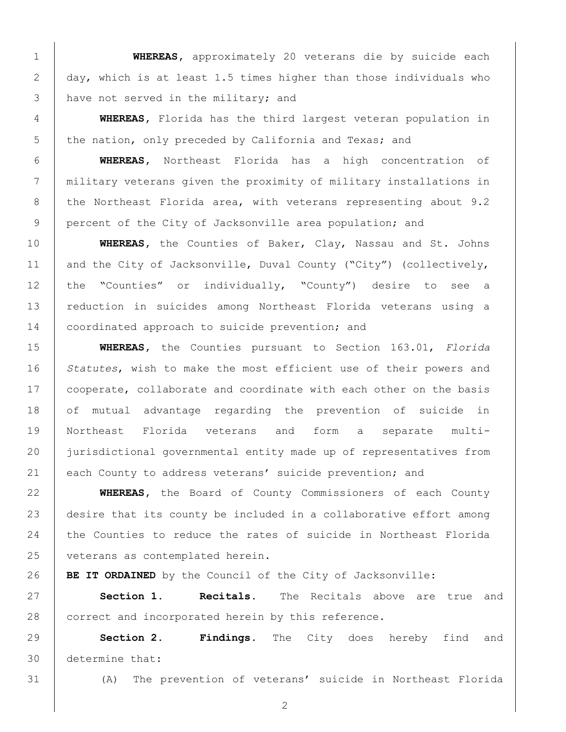**WHEREAS,** approximately 20 veterans die by suicide each day, which is at least 1.5 times higher than those individuals who 3 have not served in the military; and

 **WHEREAS,** Florida has the third largest veteran population in 5 the nation, only preceded by California and Texas; and

 **WHEREAS,** Northeast Florida has a high concentration of military veterans given the proximity of military installations in 8 the Northeast Florida area, with veterans representing about  $9.2$ 9 percent of the City of Jacksonville area population; and

 **WHEREAS,** the Counties of Baker, Clay, Nassau and St. Johns 11 and the City of Jacksonville, Duval County ("City") (collectively, the "Counties" or individually, "County") desire to see a reduction in suicides among Northeast Florida veterans using a 14 coordinated approach to suicide prevention; and

 **WHEREAS,** the Counties pursuant to Section 163.01, *Florida Statutes*, wish to make the most efficient use of their powers and 17 | cooperate, collaborate and coordinate with each other on the basis 18 of mutual advantage regarding the prevention of suicide in Northeast Florida veterans and form a separate multi- jurisdictional governmental entity made up of representatives from 21 each County to address veterans' suicide prevention; and

 **WHEREAS,** the Board of County Commissioners of each County 23 desire that its county be included in a collaborative effort among the Counties to reduce the rates of suicide in Northeast Florida 25 | veterans as contemplated herein.

**BE IT ORDAINED** by the Council of the City of Jacksonville:

 **Section 1. Recitals.** The Recitals above are true and 28 correct and incorporated herein by this reference.

 **Section 2. Findings.** The City does hereby find and determine that:

(A) The prevention of veterans' suicide in Northeast Florida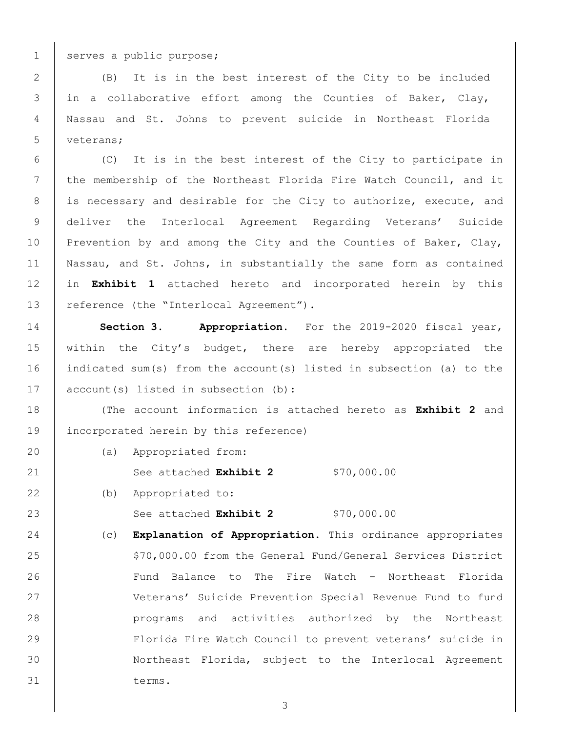serves a public purpose;

 (B) It is in the best interest of the City to be included in a collaborative effort among the Counties of Baker, Clay, Nassau and St. Johns to prevent suicide in Northeast Florida 5 veterans:

 (C) It is in the best interest of the City to participate in 7 the membership of the Northeast Florida Fire Watch Council, and it 8 is necessary and desirable for the City to authorize, execute, and deliver the Interlocal Agreement Regarding Veterans' Suicide 10 Prevention by and among the City and the Counties of Baker, Clay, Nassau, and St. Johns, in substantially the same form as contained in **Exhibit 1** attached hereto and incorporated herein by this 13 | reference (the "Interlocal Agreement").

 **Section 3. Appropriation.** For the 2019-2020 fiscal year, 15 within the City's budget, there are hereby appropriated the indicated sum(s) from the account(s) listed in subsection (a) to the 17 account(s) listed in subsection (b):

 (The account information is attached hereto as **Exhibit 2** and incorporated herein by this reference)

(a) Appropriated from:

See attached **Exhibit 2** \$70,000.00

22 (b) Appropriated to:

23 | See attached **Exhibit 2** \$70,000.00

 (c) **Explanation of Appropriation.** This ordinance appropriates 25 | S70,000.00 from the General Fund/General Services District 26 | Fund Balance to The Fire Watch - Northeast Florida Veterans' Suicide Prevention Special Revenue Fund to fund programs and activities authorized by the Northeast Florida Fire Watch Council to prevent veterans' suicide in Northeast Florida, subject to the Interlocal Agreement terms.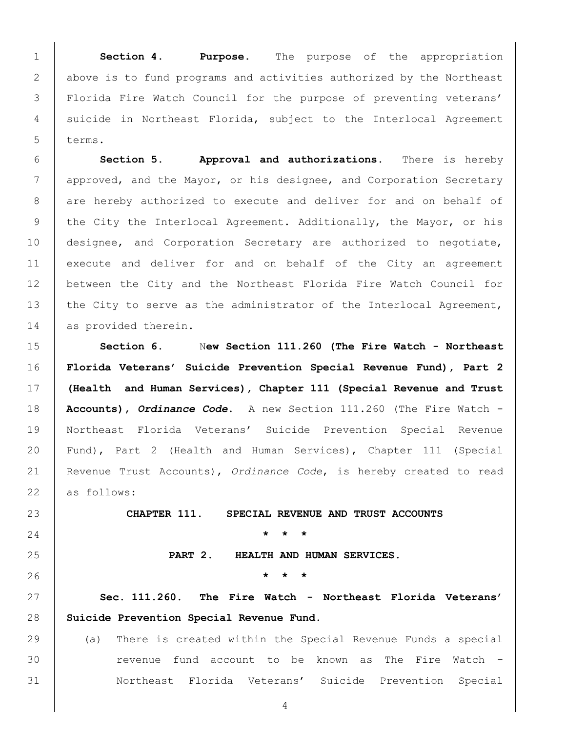**Section 4**. **Purpose.** The purpose of the appropriation 2 above is to fund programs and activities authorized by the Northeast Florida Fire Watch Council for the purpose of preventing veterans' 4 suicide in Northeast Florida, subject to the Interlocal Agreement  $\tanes$ .

 **Section 5. Approval and authorizations.** There is hereby 7 approved, and the Mayor, or his designee, and Corporation Secretary 8 are hereby authorized to execute and deliver for and on behalf of 9 the City the Interlocal Agreement. Additionally, the Mayor, or his designee, and Corporation Secretary are authorized to negotiate, execute and deliver for and on behalf of the City an agreement between the City and the Northeast Florida Fire Watch Council for 13 | the City to serve as the administrator of the Interlocal Agreement, 14 as provided therein.

 **Section 6.** N**ew Section 111.260 (The Fire Watch - Northeast Florida Veterans' Suicide Prevention Special Revenue Fund), Part 2 (Health and Human Services), Chapter 111 (Special Revenue and Trust Accounts),** *Ordinance Code***.** A new Section 111.260 (The Fire Watch - Northeast Florida Veterans' Suicide Prevention Special Revenue Fund), Part 2 (Health and Human Services), Chapter 111 (Special Revenue Trust Accounts), *Ordinance Code*, is hereby created to read as follows:

 **CHAPTER 111. SPECIAL REVENUE AND TRUST ACCOUNTS \* \* \* PART 2. HEALTH AND HUMAN SERVICES. \* \* \* Sec. 111.260. The Fire Watch - Northeast Florida Veterans'** 

**Suicide Prevention Special Revenue Fund.** 

 (a) There is created within the Special Revenue Funds a special 30 | The revenue fund account to be known as The Fire Watch -Northeast Florida Veterans' Suicide Prevention Special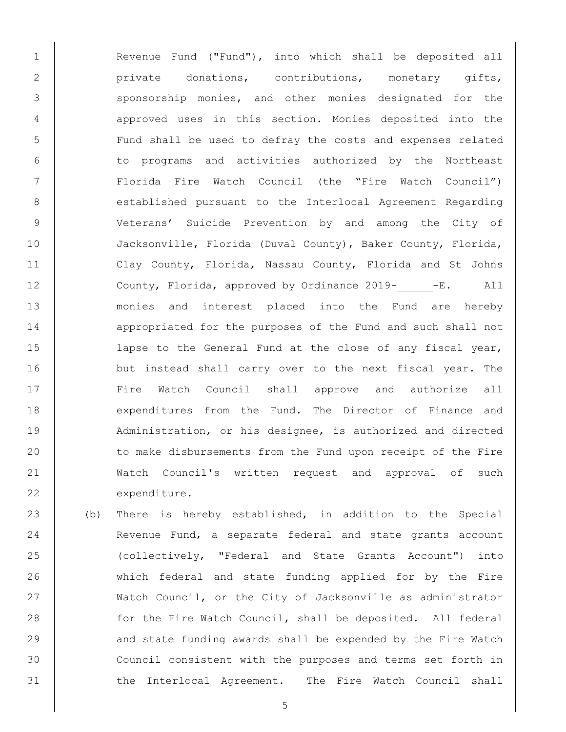1 | Revenue Fund ("Fund"), into which shall be deposited all 2 private donations, contributions, monetary gifts, 3 | Sponsorship monies, and other monies designated for the 4 q 4 approved uses in this section. Monies deposited into the 5 | Fund shall be used to defray the costs and expenses related 6 to programs and activities authorized by the Northeast 7 Florida Fire Watch Council (the "Fire Watch Council") 8 | established pursuant to the Interlocal Agreement Regarding 9 Veterans' Suicide Prevention by and among the City of 10 Jacksonville, Florida (Duval County), Baker County, Florida, 11 Clay County, Florida, Nassau County, Florida and St Johns 12 County, Florida, approved by Ordinance 2019- -E. All 13 monies and interest placed into the Fund are hereby 14 appropriated for the purposes of the Fund and such shall not 15 | lapse to the General Fund at the close of any fiscal year, 16 but instead shall carry over to the next fiscal year. The 17 Fire Watch Council shall approve and authorize all 18 expenditures from the Fund. The Director of Finance and 19 Administration, or his designee, is authorized and directed 20 to make disbursements from the Fund upon receipt of the Fire 21 Watch Council's written request and approval of such 22 expenditure.

23 (b) There is hereby established, in addition to the Special 24 Revenue Fund, a separate federal and state grants account 25 (collectively, "Federal and State Grants Account") into 26 which federal and state funding applied for by the Fire 27 Watch Council, or the City of Jacksonville as administrator 28 for the Fire Watch Council, shall be deposited. All federal 29 | and state funding awards shall be expended by the Fire Watch 30 Council consistent with the purposes and terms set forth in 31 | the Interlocal Agreement. The Fire Watch Council shall